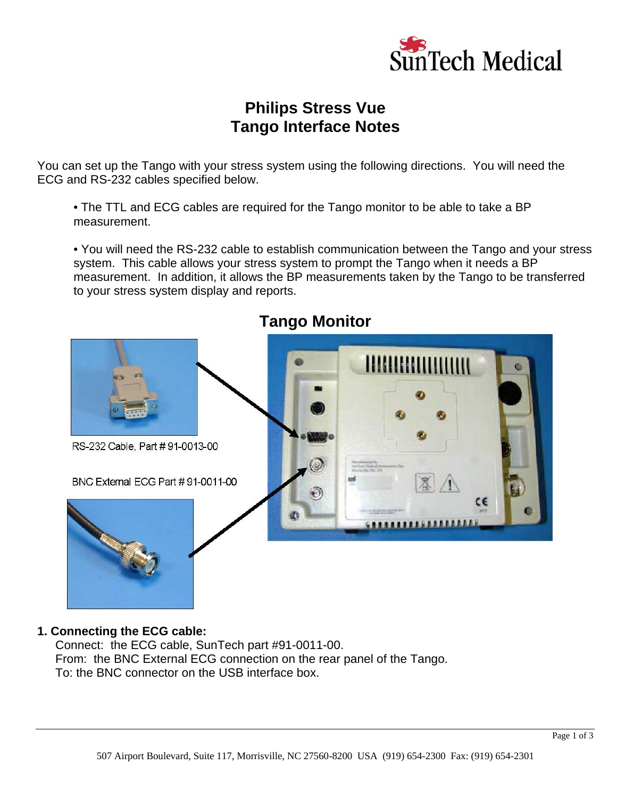

# **Philips Stress Vue Tango Interface Notes**

You can set up the Tango with your stress system using the following directions. You will need the ECG and RS-232 cables specified below.

 • The TTL and ECG cables are required for the Tango monitor to be able to take a BP measurement.

 • You will need the RS-232 cable to establish communication between the Tango and your stress system. This cable allows your stress system to prompt the Tango when it needs a BP measurement. In addition, it allows the BP measurements taken by the Tango to be transferred to your stress system display and reports.



## **Tango Monitor**

#### **1. Connecting the ECG cable:**

Connect: the ECG cable, SunTech part #91-0011-00. From: the BNC External ECG connection on the rear panel of the Tango. To: the BNC connector on the USB interface box.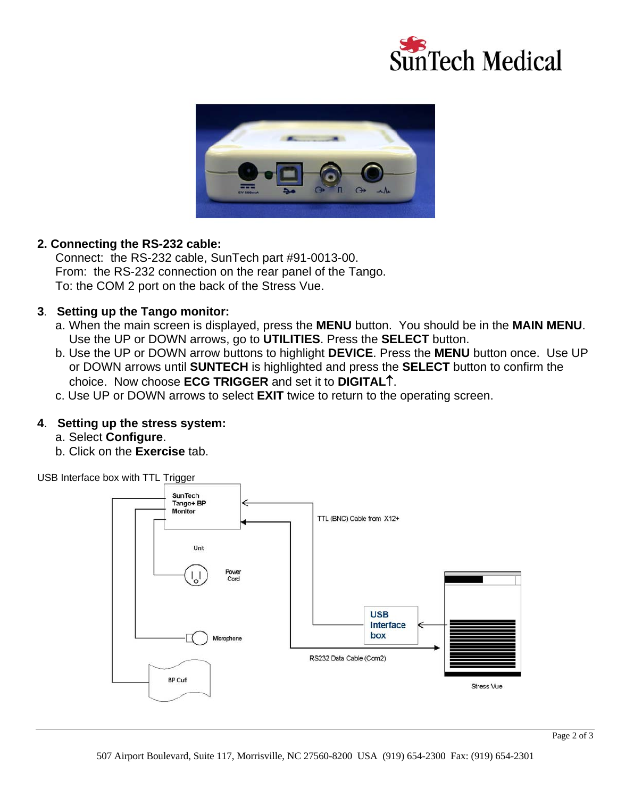



### **2. Connecting the RS-232 cable:**

Connect: the RS-232 cable, SunTech part #91-0013-00. From: the RS-232 connection on the rear panel of the Tango. To: the COM 2 port on the back of the Stress Vue.

#### **3**. **Setting up the Tango monitor:**

- a. When the main screen is displayed, press the **MENU** button. You should be in the **MAIN MENU**. Use the UP or DOWN arrows, go to **UTILITIES**. Press the **SELECT** button.
- b. Use the UP or DOWN arrow buttons to highlight **DEVICE**. Press the **MENU** button once. Use UP or DOWN arrows until **SUNTECH** is highlighted and press the **SELECT** button to confirm the choice. Now choose **ECG TRIGGER** and set it to **DIGITAL**↑.
- c. Use UP or DOWN arrows to select **EXIT** twice to return to the operating screen.

#### **4**. **Setting up the stress system:**

- a. Select **Configure**.
- b. Click on the **Exercise** tab.

USB Interface box with TTL Trigger